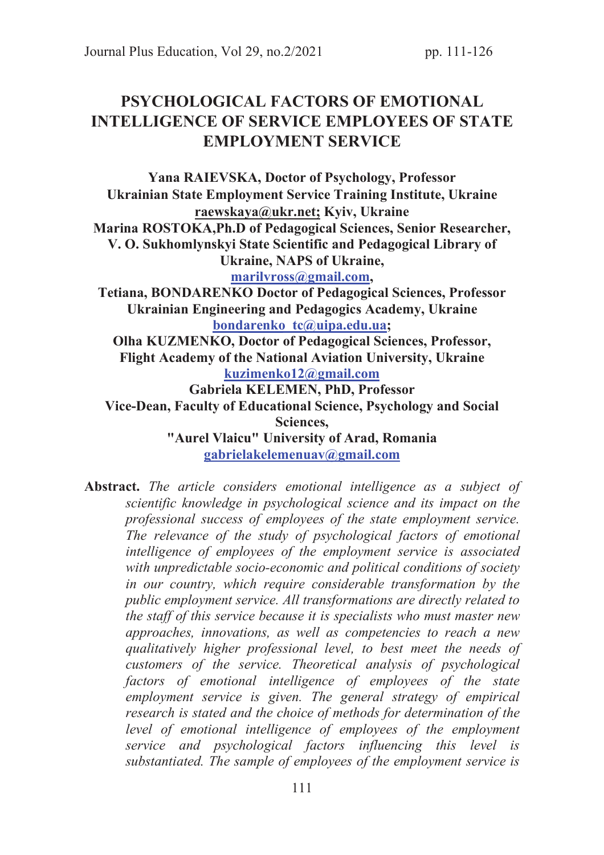# PSYCHOLOGICAL FACTORS OF EMOTIONAL INTELLIGENCE OF SERVICE EMPLOYEES OF STATE EMPLOYMENT SERVICE

Yana RAIEVSKA, Doctor of Psychology, Рrofessor Ukrainian State Employment Service Training Institute, Ukraine raewskaya@ukr.net; Kyiv, Ukraine Marina ROSTOKA,Ph.D of Pedagogical Sciences, Senior Researcher, V. О. Sukhomlynskyi State Scientific and Pedagogical Library of Ukraine, NAPS of Ukraine, marilvross@gmail.com, Tetiana, BONDARENKO Doctor of Pedagogical Sciences, Professor Ukrainian Engineering and Pedagogics Academy, Ukraine bondarenko tc@uipa.edu.ua; Olha KUZMENKO, Doctor of Pedagogical Sciences, Рrofessor, Flight Academy of the National Aviation University, Ukraine kuzimenko12@gmail.com Gabriela KELEMEN, PhD, Professor Vice-Dean, Faculty of Educational Science, Psychology and Social Sciences, "Aurel Vlaicu" University of Arad, Romania gabrielakelemenuav@gmail.com

Abstract. *The article considers emotional intelligence as a subject of scientific knowledge in psychological science and its impact on the professional success of employees of the state employment service. The relevance of the study of psychological factors of emotional intelligence of employees of the employment service is associated with unpredictable socio-economic and political conditions of society in our country, which require considerable transformation by the public employment service. All transformations are directly related to the staff of this service because it is specialists who must master new approaches, innovations, as well as competencies to reach a new qualitatively higher professional level, to best meet the needs of customers of the service. Theoretical analysis of psychological factors of emotional intelligence of employees of the state employment service is given. The general strategy of empirical research is stated and the choice of methods for determination of the level of emotional intelligence of employees of the employment service and psychological factors influencing this level is substantiated. The sample of employees of the employment service is*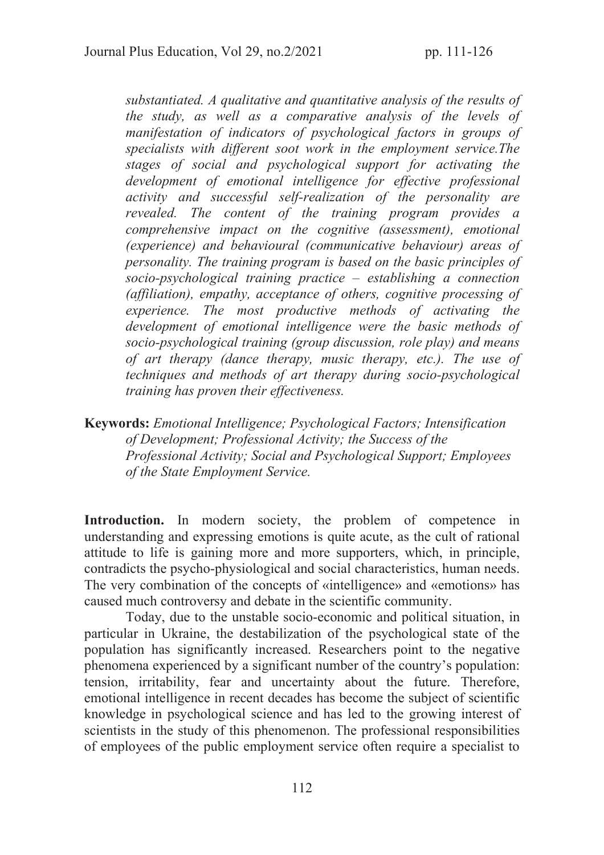*substantiated. A qualitative and quantitative analysis of the results of the study, as well as a comparative analysis of the levels of manifestation of indicators of psychological factors in groups of specialists with different soot work in the employment service.The stages of social and psychological support for activating the development of emotional intelligence for effective professional activity and successful self-realization of the personality are revealed. The content of the training program provides a comprehensive impact on the cognitive (assessment), emotional (experience) and behavioural (communicative behaviour) areas of personality. The training program is based on the basic principles of socio-psychological training practice – establishing a connection (affiliation), empathy, acceptance of others, cognitive processing of experience. The most productive methods of activating the development of emotional intelligence were the basic methods of socio-psychological training (group discussion, role play) and means of art therapy (dance therapy, music therapy, etc.). The use of techniques and methods of art therapy during socio-psychological training has proven their effectiveness.* 

Keywords: *Emotional Intelligence; Psychological Factors; Intensification of Development; Professional Activity; the Success of the Professional Activity; Social and Psychological Support; Employees of the State Employment Service.* 

Introduction. In modern society, the problem of competence in understanding and expressing emotions is quite acute, as the cult of rational attitude to life is gaining more and more supporters, which, in principle, contradicts the psycho-physiological and social characteristics, human needs. The very combination of the concepts of «intelligence» and «emotions» has caused much controversy and debate in the scientific community.

Today, due to the unstable socio-economic and political situation, in particular in Ukraine, the destabilization of the psychological state of the population has significantly increased. Researchers point to the negative phenomena experienced by a significant number of the country's population: tension, irritability, fear and uncertainty about the future. Therefore, emotional intelligence in recent decades has become the subject of scientific knowledge in psychological science and has led to the growing interest of scientists in the study of this phenomenon. The professional responsibilities of employees of the public employment service often require a specialist to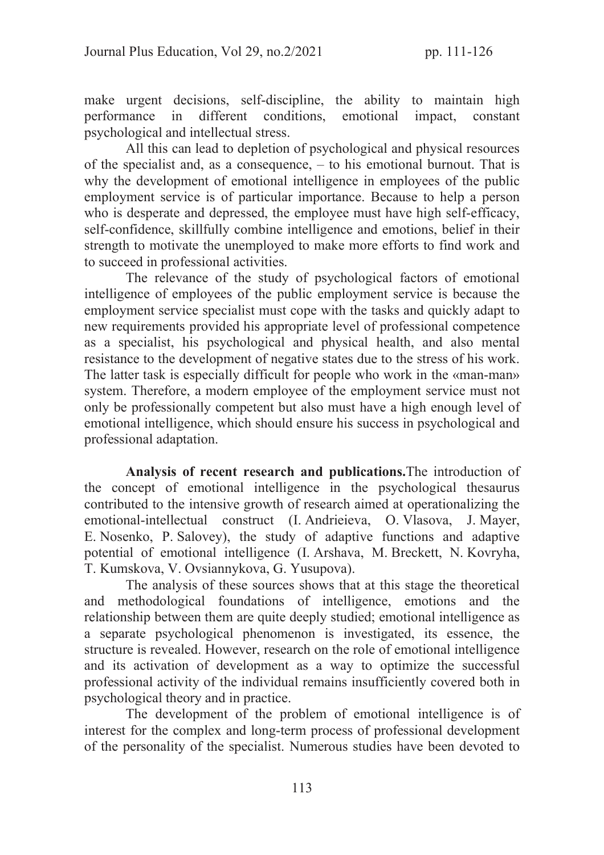make urgent decisions, self-discipline, the ability to maintain high performance in different conditions, emotional impact, constant psychological and intellectual stress.

All this can lead to depletion of psychological and physical resources of the specialist and, as a consequence, – to his emotional burnout. That is why the development of emotional intelligence in employees of the public employment service is of particular importance. Because to help a person who is desperate and depressed, the employee must have high self-efficacy, self-confidence, skillfully combine intelligence and emotions, belief in their strength to motivate the unemployed to make more efforts to find work and to succeed in professional activities.

The relevance of the study of psychological factors of emotional intelligence of employees of the public employment service is because the employment service specialist must cope with the tasks and quickly adapt to new requirements provided his appropriate level of professional competence as a specialist, his psychological and physical health, and also mental resistance to the development of negative states due to the stress of his work. The latter task is especially difficult for people who work in the «man-man» system. Therefore, a modern employee of the employment service must not only be professionally competent but also must have a high enough level of emotional intelligence, which should ensure his success in psychological and professional adaptation.

Analysis of recent research and publications.The introduction of the concept of emotional intelligence in the psychological thesaurus contributed to the intensive growth of research aimed at operationalizing the emotional-intellectual construct (I. Andrieieva, O. Vlasova, J. Mayer, E. Nosenko, P. Salovey), the study of adaptive functions and adaptive potential of emotional intelligence (I. Arshava, M. Breckett, N. Kovryha, T. Kumskova, V. Ovsiannykova, G. Yusupova).

The analysis of these sources shows that at this stage the theoretical and methodological foundations of intelligence, emotions and the relationship between them are quite deeply studied; emotional intelligence as a separate psychological phenomenon is investigated, its essence, the structure is revealed. However, research on the role of emotional intelligence and its activation of development as a way to optimize the successful professional activity of the individual remains insufficiently covered both in psychological theory and in practice.

The development of the problem of emotional intelligence is of interest for the complex and long-term process of professional development of the personality of the specialist. Numerous studies have been devoted to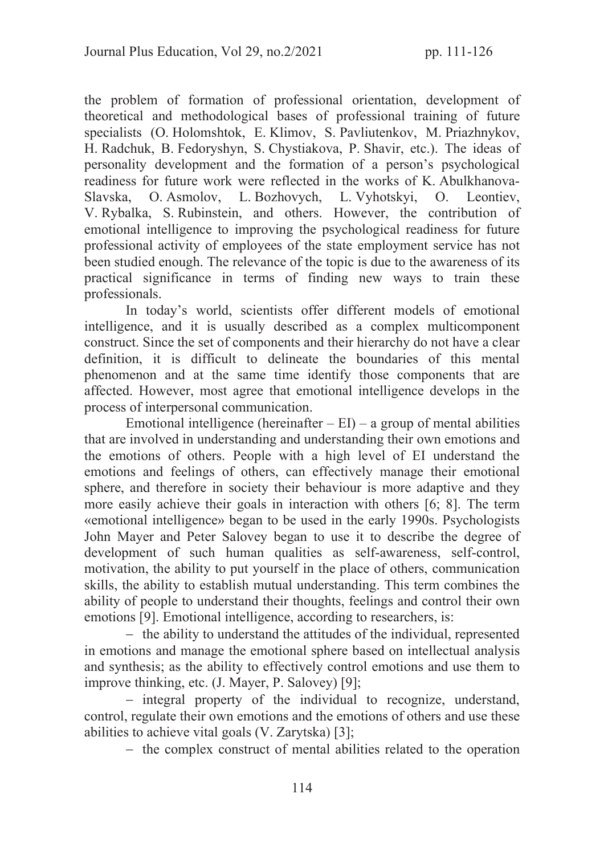the problem of formation of professional orientation, development of theoretical and methodological bases of professional training of future specialists (O. Holomshtok, E. Klimov, S. Pavliutenkov, M. Priazhnykov, H. Radchuk, B. Fedoryshyn, S. Chystiakova, P. Shavir, etc.). The ideas of personality development and the formation of a person's psychological readiness for future work were reflected in the works of K. Abulkhanova-Slavska, O. Asmolov, L. Bozhovych, L. Vyhotskyi, O. Leontiev, V. Rybalka, S. Rubinstein, and others. However, the contribution of emotional intelligence to improving the psychological readiness for future professional activity of employees of the state employment service has not been studied enough. The relevance of the topic is due to the awareness of its practical significance in terms of finding new ways to train these professionals.

In today's world, scientists offer different models of emotional intelligence, and it is usually described as a complex multicomponent construct. Since the set of components and their hierarchy do not have a clear definition, it is difficult to delineate the boundaries of this mental phenomenon and at the same time identify those components that are affected. However, most agree that emotional intelligence develops in the process of interpersonal communication.

Emotional intelligence (hereinafter  $-EI$ ) – a group of mental abilities that are involved in understanding and understanding their own emotions and the emotions of others. People with a high level of EI understand the emotions and feelings of others, can effectively manage their emotional sphere, and therefore in society their behaviour is more adaptive and they more easily achieve their goals in interaction with others [6; 8]. The term «emotional intelligence» began to be used in the early 1990s. Psychologists John Mayer and Peter Salovey began to use it to describe the degree of development of such human qualities as self-awareness, self-control, motivation, the ability to put yourself in the place of others, communication skills, the ability to establish mutual understanding. This term combines the ability of people to understand their thoughts, feelings and control their own emotions [9]. Emotional intelligence, according to researchers, is:

- the ability to understand the attitudes of the individual, represented in emotions and manage the emotional sphere based on intellectual analysis and synthesis; as the ability to effectively control emotions and use them to improve thinking, etc. (J. Mayer, P. Salovey) [9];

- integral property of the individual to recognize, understand, control, regulate their own emotions and the emotions of others and use these abilities to achieve vital goals (V. Zarytska) [3];

- the complex construct of mental abilities related to the operation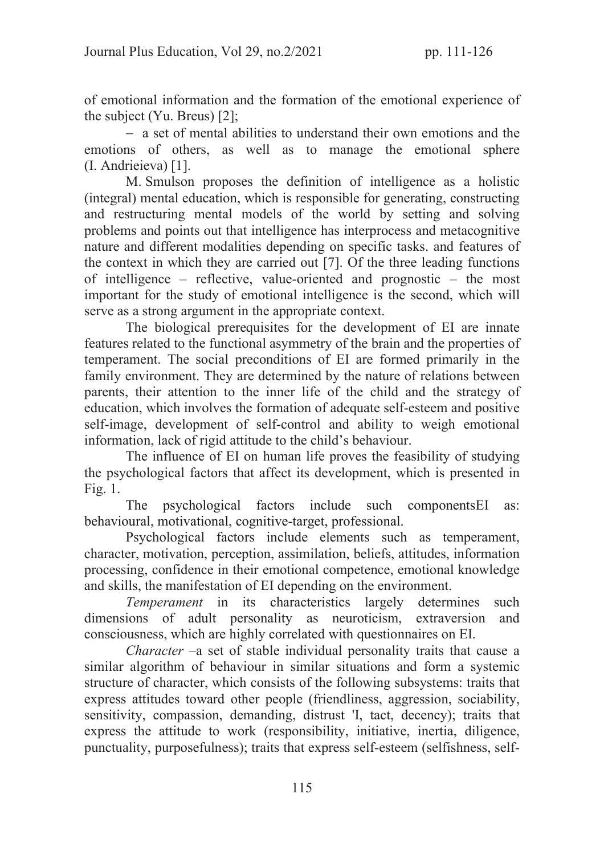of emotional information and the formation of the emotional experience of the subject (Yu. Breus) [2];

- a set of mental abilities to understand their own emotions and the emotions of others, as well as to manage the emotional sphere (I. Andrieieva) [1].

M. Smulson proposes the definition of intelligence as a holistic (integral) mental education, which is responsible for generating, constructing and restructuring mental models of the world by setting and solving problems and points out that intelligence has interprocess and metacognitive nature and different modalities depending on specific tasks. and features of the context in which they are carried out [7]. Of the three leading functions of intelligence – reflective, value-oriented and prognostic – the most important for the study of emotional intelligence is the second, which will serve as a strong argument in the appropriate context.

The biological prerequisites for the development of EI are innate features related to the functional asymmetry of the brain and the properties of temperament. The social preconditions of EI are formed primarily in the family environment. They are determined by the nature of relations between parents, their attention to the inner life of the child and the strategy of education, which involves the formation of adequate self-esteem and positive self-image, development of self-control and ability to weigh emotional information, lack of rigid attitude to the child's behaviour.

The influence of EI on human life proves the feasibility of studying the psychological factors that affect its development, which is presented in Fig. 1.

The psychological factors include such componentsEI as: behavioural, motivational, cognitive-target, professional.

Psychological factors include elements such as temperament, character, motivation, perception, assimilation, beliefs, attitudes, information processing, confidence in their emotional competence, emotional knowledge and skills, the manifestation of EI depending on the environment.

*Temperament* in its characteristics largely determines such dimensions of adult personality as neuroticism, extraversion and consciousness, which are highly correlated with questionnaires on EI.

*Character* –a set of stable individual personality traits that cause a similar algorithm of behaviour in similar situations and form a systemic structure of character, which consists of the following subsystems: traits that express attitudes toward other people (friendliness, aggression, sociability, sensitivity, compassion, demanding, distrust 'I, tact, decency); traits that express the attitude to work (responsibility, initiative, inertia, diligence, punctuality, purposefulness); traits that express self-esteem (selfishness, self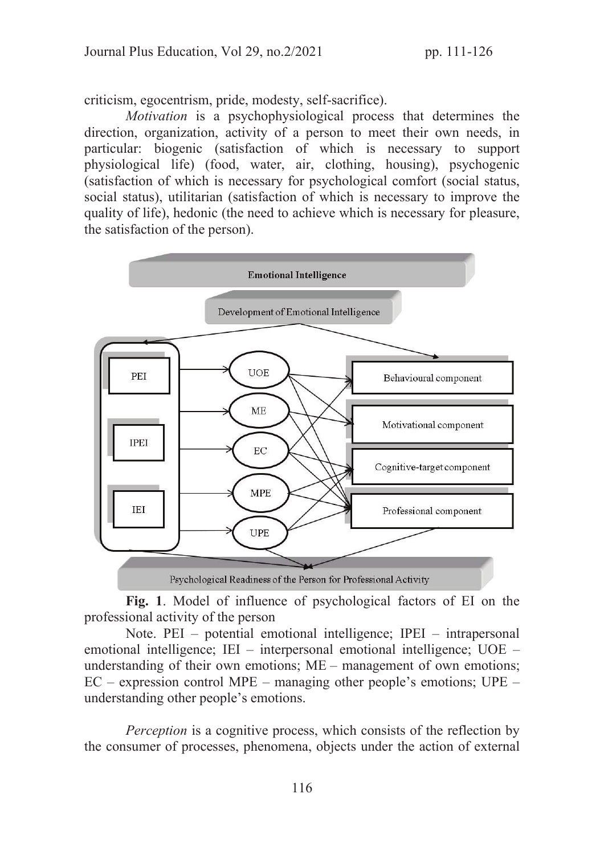criticism, egocentrism, pride, modesty, self-sacrifice).

*Motivation* is a psychophysiological process that determines the direction, organization, activity of a person to meet their own needs, in particular: biogenic (satisfaction of which is necessary to support physiological life) (food, water, air, clothing, housing), psychogenic (satisfaction of which is necessary for psychological comfort (social status, social status), utilitarian (satisfaction of which is necessary to improve the quality of life), hedonic (the need to achieve which is necessary for pleasure, the satisfaction of the person).



Fig. 1. Model of influence of psychological factors of EI on the professional activity of the person

Note. PEI – potential emotional intelligence; IPEI – intrapersonal emotional intelligence; IEI – interpersonal emotional intelligence; UOE – understanding of their own emotions; ME – management of own emotions;  $EC -$  expression control MPE – managing other people's emotions;  $UPE$ understanding other people's emotions.

*Perception* is a cognitive process, which consists of the reflection by the consumer of processes, phenomena, objects under the action of external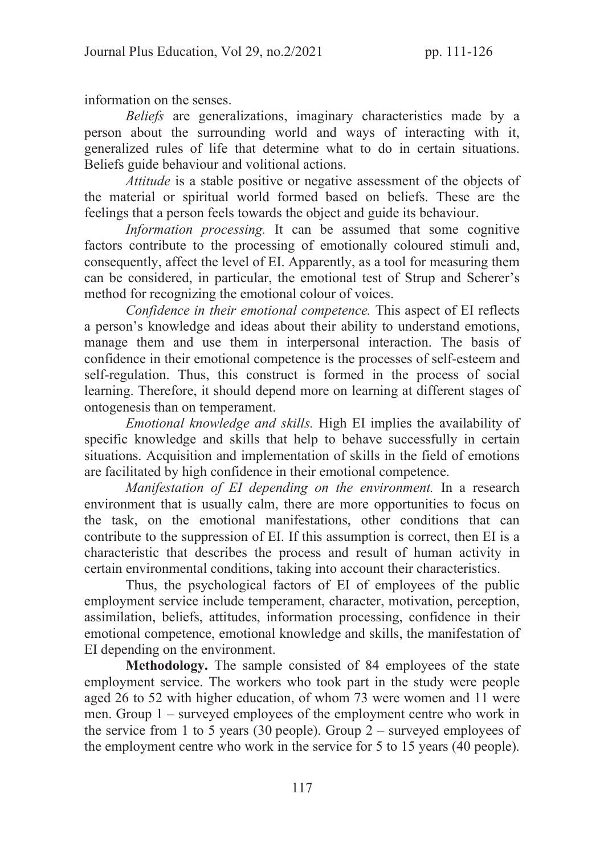information on the senses.

*Beliefs* are generalizations, imaginary characteristics made by a person about the surrounding world and ways of interacting with it, generalized rules of life that determine what to do in certain situations. Beliefs guide behaviour and volitional actions.

*Attitude* is a stable positive or negative assessment of the objects of the material or spiritual world formed based on beliefs. These are the feelings that a person feels towards the object and guide its behaviour.

*Information processing.* It can be assumed that some cognitive factors contribute to the processing of emotionally coloured stimuli and, consequently, affect the level of EI. Apparently, as a tool for measuring them can be considered, in particular, the emotional test of Strup and Scherer's method for recognizing the emotional colour of voices.

*Confidence in their emotional competence.* This aspect of EI reflects a person's knowledge and ideas about their ability to understand emotions, manage them and use them in interpersonal interaction. The basis of confidence in their emotional competence is the processes of self-esteem and self-regulation. Thus, this construct is formed in the process of social learning. Therefore, it should depend more on learning at different stages of ontogenesis than on temperament.

*Emotional knowledge and skills.* High EI implies the availability of specific knowledge and skills that help to behave successfully in certain situations. Acquisition and implementation of skills in the field of emotions are facilitated by high confidence in their emotional competence.

*Manifestation of EI depending on the environment.* In a research environment that is usually calm, there are more opportunities to focus on the task, on the emotional manifestations, other conditions that can contribute to the suppression of EI. If this assumption is correct, then EI is a characteristic that describes the process and result of human activity in certain environmental conditions, taking into account their characteristics.

Thus, the psychological factors of EI of employees of the public employment service include temperament, character, motivation, perception, assimilation, beliefs, attitudes, information processing, confidence in their emotional competence, emotional knowledge and skills, the manifestation of EI depending on the environment.

Methodology. The sample consisted of 84 employees of the state employment service. The workers who took part in the study were people aged 26 to 52 with higher education, of whom 73 were women and 11 were men. Group 1 – surveyed employees of the employment centre who work in the service from 1 to 5 years (30 people). Group  $2$  – surveyed employees of the employment centre who work in the service for 5 to 15 years (40 people).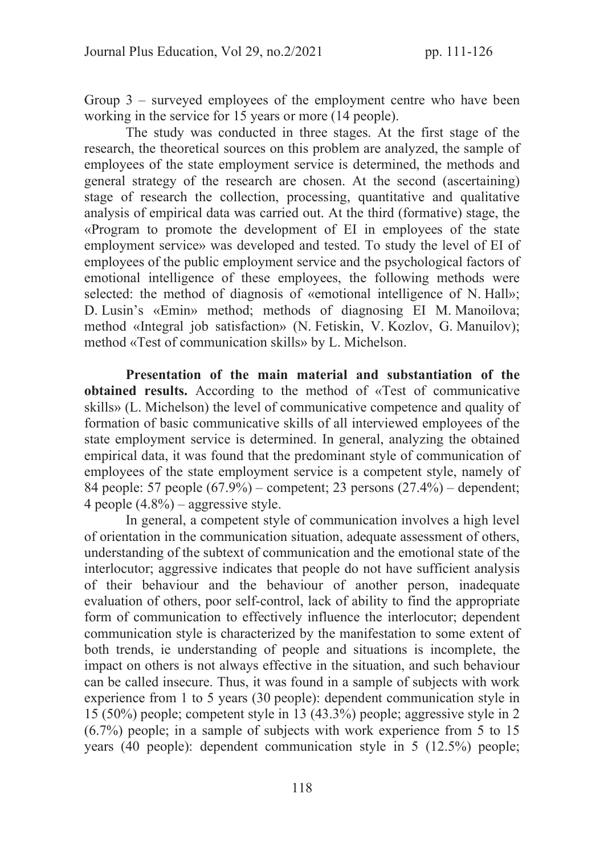Group  $3$  – surveyed employees of the employment centre who have been working in the service for 15 years or more (14 people).

The study was conducted in three stages. At the first stage of the research, the theoretical sources on this problem are analyzed, the sample of employees of the state employment service is determined, the methods and general strategy of the research are chosen. At the second (ascertaining) stage of research the collection, processing, quantitative and qualitative analysis of empirical data was carried out. At the third (formative) stage, the «Program to promote the development of EI in employees of the state employment service» was developed and tested. To study the level of EI of employees of the public employment service and the psychological factors of emotional intelligence of these employees, the following methods were selected: the method of diagnosis of «emotional intelligence of N. Hall»; D. Lusin's «Emin» method; methods of diagnosing EI M. Manoilova; method «Integral job satisfaction» (N. Fetiskin, V. Kozlov, G. Manuilov); method «Test of communication skills» by L. Michelson.

Presentation of the main material and substantiation of the obtained results. According to the method of «Test of communicative skills» (L. Michelson) the level of communicative competence and quality of formation of basic communicative skills of all interviewed employees of the state employment service is determined. In general, analyzing the obtained empirical data, it was found that the predominant style of communication of employees of the state employment service is a competent style, namely of 84 people: 57 people (67.9%) – competent; 23 persons (27.4%) – dependent; 4 people  $(4.8\%)$  – aggressive style.

In general, a competent style of communication involves a high level of orientation in the communication situation, adequate assessment of others, understanding of the subtext of communication and the emotional state of the interlocutor; aggressive indicates that people do not have sufficient analysis of their behaviour and the behaviour of another person, inadequate evaluation of others, poor self-control, lack of ability to find the appropriate form of communication to effectively influence the interlocutor; dependent communication style is characterized by the manifestation to some extent of both trends, ie understanding of people and situations is incomplete, the impact on others is not always effective in the situation, and such behaviour can be called insecure. Thus, it was found in a sample of subjects with work experience from 1 to 5 years (30 people): dependent communication style in 15 (50%) people; competent style in 13 (43.3%) people; aggressive style in 2 (6.7%) people; in a sample of subjects with work experience from 5 to 15 years (40 people): dependent communication style in 5 (12.5%) people;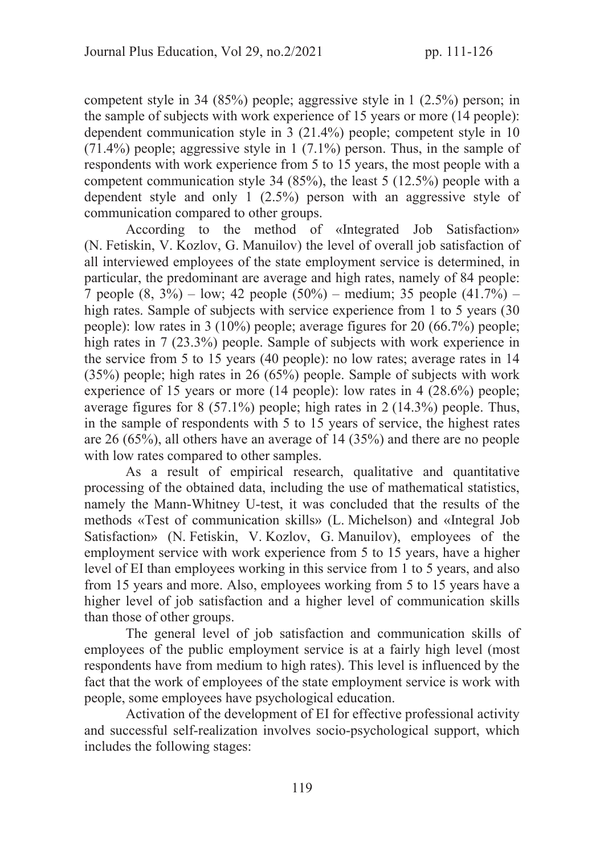competent style in 34 (85%) people; aggressive style in 1 (2.5%) person; in the sample of subjects with work experience of 15 years or more (14 people): dependent communication style in 3 (21.4%) people; competent style in 10  $(71.4\%)$  people; aggressive style in 1  $(7.1\%)$  person. Thus, in the sample of respondents with work experience from 5 to 15 years, the most people with a competent communication style 34 (85%), the least 5 (12.5%) people with a dependent style and only 1 (2.5%) person with an aggressive style of communication compared to other groups.

According to the method of «Integrated Job Satisfaction» (N. Fetiskin, V. Kozlov, G. Manuilov) the level of overall job satisfaction of all interviewed employees of the state employment service is determined, in particular, the predominant are average and high rates, namely of 84 people: 7 people (8, 3%) – low; 42 people (50%) – medium; 35 people (41.7%) – high rates. Sample of subjects with service experience from 1 to 5 years (30) people): low rates in 3 (10%) people; average figures for 20 (66.7%) people; high rates in 7 (23.3%) people. Sample of subjects with work experience in the service from 5 to 15 years (40 people): no low rates; average rates in 14 (35%) people; high rates in 26 (65%) people. Sample of subjects with work experience of 15 years or more (14 people): low rates in 4 (28.6%) people; average figures for 8 (57.1%) people; high rates in 2 (14.3%) people. Thus, in the sample of respondents with 5 to 15 years of service, the highest rates are 26 (65%), all others have an average of 14 (35%) and there are no people with low rates compared to other samples.

As a result of empirical research, qualitative and quantitative processing of the obtained data, including the use of mathematical statistics, namely the Mann-Whitney U-test, it was concluded that the results of the methods «Test of communication skills» (L. Michelson) and «Integral Job Satisfaction» (N. Fetiskin, V. Kozlov, G. Manuilov), employees of the employment service with work experience from 5 to 15 years, have a higher level of EI than employees working in this service from 1 to 5 years, and also from 15 years and more. Also, employees working from 5 to 15 years have a higher level of job satisfaction and a higher level of communication skills than those of other groups.

The general level of job satisfaction and communication skills of employees of the public employment service is at a fairly high level (most respondents have from medium to high rates). This level is influenced by the fact that the work of employees of the state employment service is work with people, some employees have psychological education.

Activation of the development of EI for effective professional activity and successful self-realization involves socio-psychological support, which includes the following stages: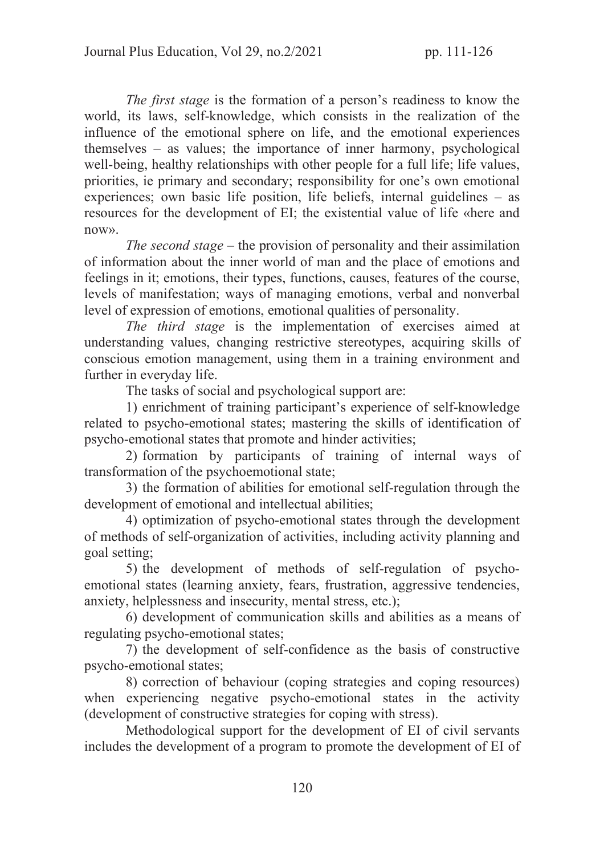*The first stage* is the formation of a person's readiness to know the world, its laws, self-knowledge, which consists in the realization of the influence of the emotional sphere on life, and the emotional experiences themselves – as values; the importance of inner harmony, psychological well-being, healthy relationships with other people for a full life; life values, priorities, ie primary and secondary; responsibility for one's own emotional experiences; own basic life position, life beliefs, internal guidelines – as resources for the development of EI; the existential value of life «here and now».

*The second stage* – the provision of personality and their assimilation of information about the inner world of man and the place of emotions and feelings in it; emotions, their types, functions, causes, features of the course, levels of manifestation; ways of managing emotions, verbal and nonverbal level of expression of emotions, emotional qualities of personality.

*The third stage* is the implementation of exercises aimed at understanding values, changing restrictive stereotypes, acquiring skills of conscious emotion management, using them in a training environment and further in everyday life.

The tasks of social and psychological support are:

1) enrichment of training participant's experience of self-knowledge related to psycho-emotional states; mastering the skills of identification of psycho-emotional states that promote and hinder activities;

2) formation by participants of training of internal ways of transformation of the psychoemotional state;

3) the formation of abilities for emotional self-regulation through the development of emotional and intellectual abilities;

4) optimization of psycho-emotional states through the development of methods of self-organization of activities, including activity planning and goal setting;

5) the development of methods of self-regulation of psychoemotional states (learning anxiety, fears, frustration, aggressive tendencies, anxiety, helplessness and insecurity, mental stress, etc.);

6) development of communication skills and abilities as a means of regulating psycho-emotional states;

7) the development of self-confidence as the basis of constructive psycho-emotional states;

8) correction of behaviour (coping strategies and coping resources) when experiencing negative psycho-emotional states in the activity (development of constructive strategies for coping with stress).

Methodological support for the development of EI of civil servants includes the development of a program to promote the development of EI of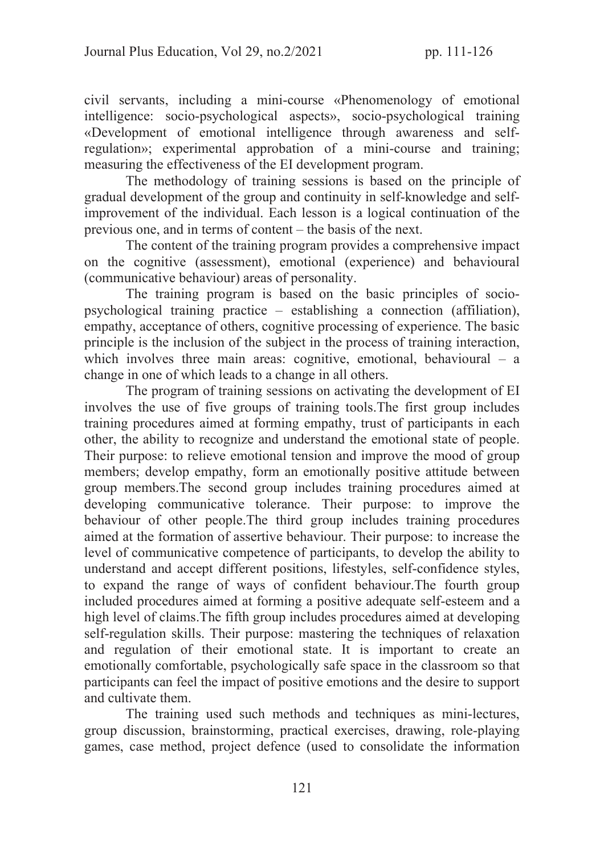civil servants, including a mini-course «Phenomenology of emotional intelligence: socio-psychological aspects», socio-psychological training «Development of emotional intelligence through awareness and selfregulation»; experimental approbation of a mini-course and training; measuring the effectiveness of the EI development program.

The methodology of training sessions is based on the principle of gradual development of the group and continuity in self-knowledge and selfimprovement of the individual. Each lesson is a logical continuation of the previous one, and in terms of content – the basis of the next.

The content of the training program provides a comprehensive impact on the cognitive (assessment), emotional (experience) and behavioural (communicative behaviour) areas of personality.

The training program is based on the basic principles of sociopsychological training practice – establishing a connection (affiliation), empathy, acceptance of others, cognitive processing of experience. The basic principle is the inclusion of the subject in the process of training interaction, which involves three main areas: cognitive, emotional, behavioural – a change in one of which leads to a change in all others.

The program of training sessions on activating the development of EI involves the use of five groups of training tools.The first group includes training procedures aimed at forming empathy, trust of participants in each other, the ability to recognize and understand the emotional state of people. Their purpose: to relieve emotional tension and improve the mood of group members; develop empathy, form an emotionally positive attitude between group members.The second group includes training procedures aimed at developing communicative tolerance. Their purpose: to improve the behaviour of other people.The third group includes training procedures aimed at the formation of assertive behaviour. Their purpose: to increase the level of communicative competence of participants, to develop the ability to understand and accept different positions, lifestyles, self-confidence styles, to expand the range of ways of confident behaviour.The fourth group included procedures aimed at forming a positive adequate self-esteem and a high level of claims.The fifth group includes procedures aimed at developing self-regulation skills. Their purpose: mastering the techniques of relaxation and regulation of their emotional state. It is important to create an emotionally comfortable, psychologically safe space in the classroom so that participants can feel the impact of positive emotions and the desire to support and cultivate them.

The training used such methods and techniques as mini-lectures, group discussion, brainstorming, practical exercises, drawing, role-playing games, case method, project defence (used to consolidate the information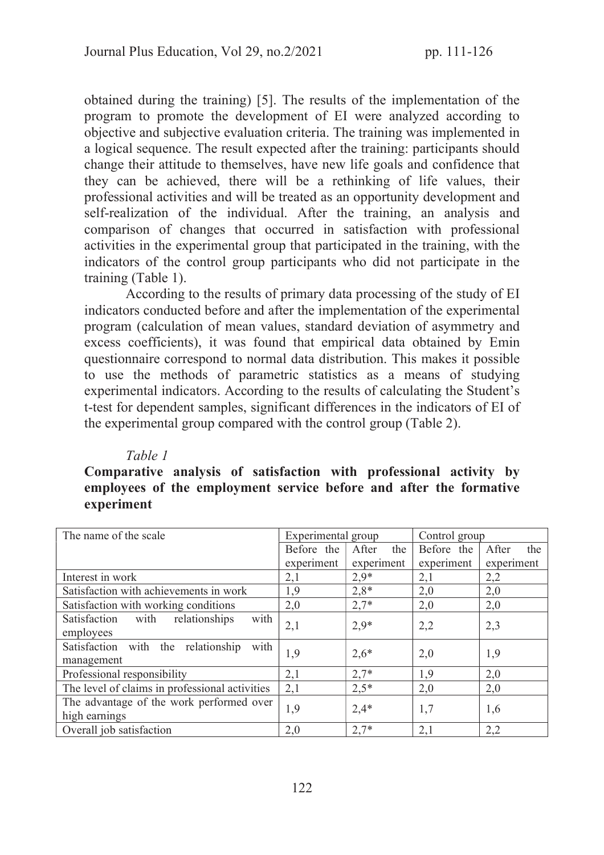obtained during the training) [5]. The results of the implementation of the program to promote the development of EI were analyzed according to objective and subjective evaluation criteria. The training was implemented in a logical sequence. The result expected after the training: participants should change their attitude to themselves, have new life goals and confidence that they can be achieved, there will be a rethinking of life values, their professional activities and will be treated as an opportunity development and self-realization of the individual. After the training, an analysis and comparison of changes that occurred in satisfaction with professional activities in the experimental group that participated in the training, with the indicators of the control group participants who did not participate in the training (Table 1).

According to the results of primary data processing of the study of EI indicators conducted before and after the implementation of the experimental program (calculation of mean values, standard deviation of asymmetry and excess coefficients), it was found that empirical data obtained by Emin questionnaire correspond to normal data distribution. This makes it possible to use the methods of parametric statistics as a means of studying experimental indicators. According to the results of calculating the Student's t-test for dependent samples, significant differences in the indicators of EI of the experimental group compared with the control group (Table 2).

# *Table 1*

# Comparative analysis of satisfaction with professional activity by employees of the employment service before and after the formative experiment

| The name of the scale                                      | Experimental group |              | Control group |              |
|------------------------------------------------------------|--------------------|--------------|---------------|--------------|
|                                                            | Before the         | After<br>the | Before the    | After<br>the |
|                                                            | experiment         | experiment   | experiment    | experiment   |
| Interest in work                                           | 2,1                | $2.9*$       | 2,1           | 2,2          |
| Satisfaction with achievements in work                     | 1,9                | $2,8*$       | 2,0           | 2,0          |
| Satisfaction with working conditions                       | 2,0                | $2,7*$       | 2,0           | 2,0          |
| relationships<br>with<br>Satisfaction<br>with<br>employees | 2,1                | $2,9*$       | 2,2           | 2,3          |
| Satisfaction with the relationship<br>with<br>management   | 1,9                | $2,6*$       | 2,0           | 1,9          |
| Professional responsibility                                | 2,1                | $2,7*$       | 1,9           | 2,0          |
| The level of claims in professional activities             | 2,1                | $2,5*$       | 2,0           | 2,0          |
| The advantage of the work performed over<br>high earnings  | 1,9                | $2,4*$       | 1,7           | 1,6          |
| Overall job satisfaction                                   | 2,0                | $2,7*$       | 2,1           | 2,2          |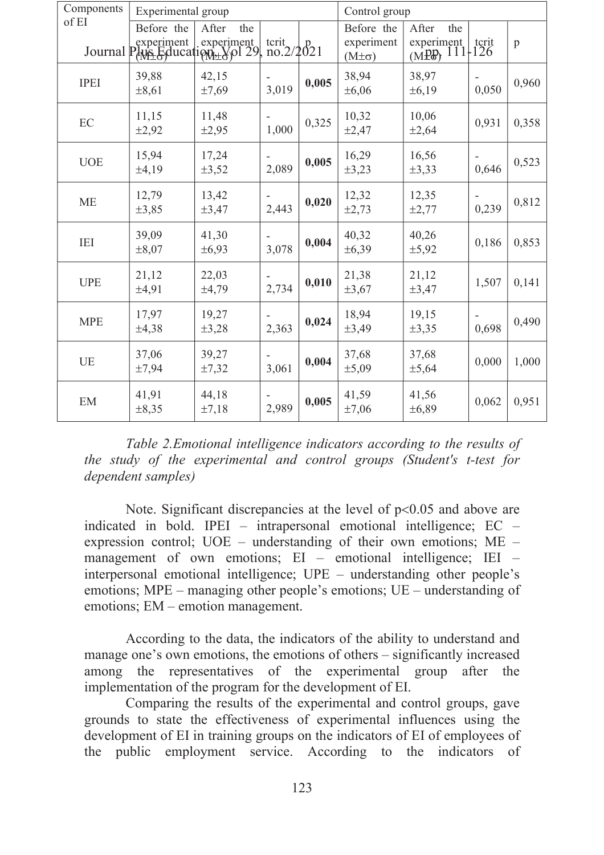| Components  | Experimental group  |                                                            |       |       | Control group                              |                                                     |       |              |
|-------------|---------------------|------------------------------------------------------------|-------|-------|--------------------------------------------|-----------------------------------------------------|-------|--------------|
| of EI       | Before the          | After<br>the<br>Journal PANE Education - Xol 29, no.2/2021 |       |       | Before the<br>experiment<br>$(M\pm\sigma)$ | After<br>the<br>experiment   terit<br>(MPP) 111-126 |       | $\mathbf{p}$ |
| <b>IPEI</b> | 39,88<br>$\pm 8,61$ | 42,15<br>$\pm 7,69$                                        | 3,019 | 0,005 | 38,94<br>$\pm 6,06$                        | 38,97<br>±6,19                                      | 0,050 | 0,960        |
| EC          | 11,15<br>±2,92      | 11,48<br>±2,95                                             | 1,000 | 0,325 | 10,32<br>±2,47                             | 10,06<br>±2,64                                      | 0,931 | 0,358        |
| <b>UOE</b>  | 15,94<br>±4,19      | 17,24<br>$\pm 3,52$                                        | 2,089 | 0,005 | 16,29<br>±3,23                             | 16,56<br>$\pm 3,33$                                 | 0,646 | 0,523        |
| <b>ME</b>   | 12,79<br>$\pm 3,85$ | 13,42<br>±3,47                                             | 2,443 | 0,020 | 12,32<br>$\pm 2,73$                        | 12,35<br>$\pm 2,77$                                 | 0,239 | 0,812        |
| IEI         | 39,09<br>$\pm 8,07$ | 41,30<br>±6,93                                             | 3,078 | 0,004 | 40,32<br>±6,39                             | 40,26<br>$\pm$ 5,92                                 | 0,186 | 0,853        |
| <b>UPE</b>  | 21,12<br>±4,91      | 22,03<br>±4,79                                             | 2,734 | 0,010 | 21,38<br>$\pm 3,67$                        | 21,12<br>±3,47                                      | 1,507 | 0,141        |
| <b>MPE</b>  | 17,97<br>±4,38      | 19,27<br>$\pm 3,28$                                        | 2,363 | 0,024 | 18,94<br>±3,49                             | 19,15<br>$\pm 3,35$                                 | 0,698 | 0,490        |
| <b>UE</b>   | 37,06<br>±7,94      | 39,27<br>±7,32                                             | 3,061 | 0,004 | 37,68<br>±5,09                             | 37,68<br>$\pm$ 5,64                                 | 0,000 | 1,000        |
| EM          | 41,91<br>$\pm 8,35$ | 44,18<br>±7,18                                             | 2,989 | 0,005 | 41,59<br>$\pm 7,06$                        | 41,56<br>±6,89                                      | 0,062 | 0,951        |

*Table 2.Emotional intelligence indicators according to the results of the study of the experimental and control groups (Student's t-test for dependent samples)*

Note. Significant discrepancies at the level of  $p<0.05$  and above are indicated in bold. IPEI – intrapersonal emotional intelligence; EC – expression control; UOE – understanding of their own emotions; ME – management of own emotions; EI – emotional intelligence; IEI – interpersonal emotional intelligence; UPE – understanding other people's emotions; MPE – managing other people's emotions; UE – understanding of emotions; EM – emotion management.

According to the data, the indicators of the ability to understand and manage one's own emotions, the emotions of others – significantly increased among the representatives of the experimental group after the implementation of the program for the development of EI.

Comparing the results of the experimental and control groups, gave grounds to state the effectiveness of experimental influences using the development of EI in training groups on the indicators of EI of employees of the public employment service. According to the indicators of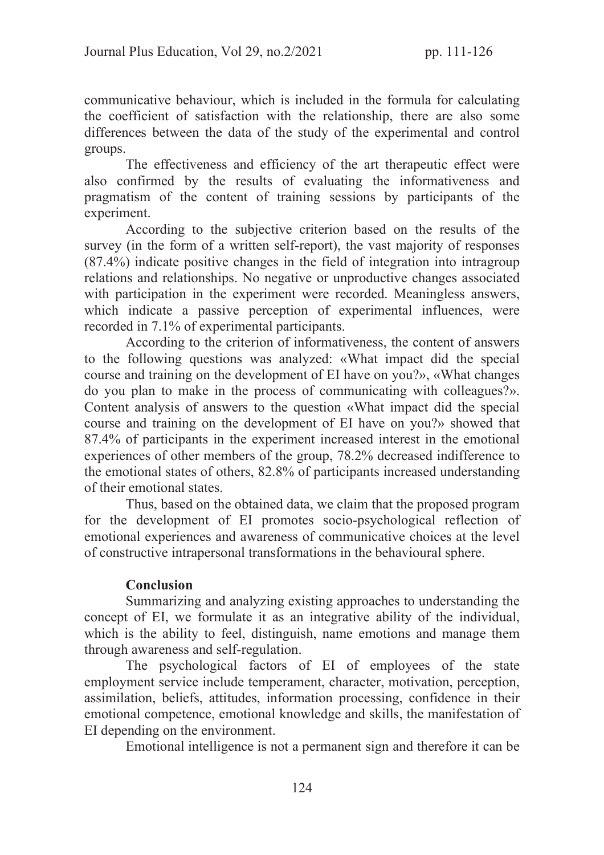communicative behaviour, which is included in the formula for calculating the coefficient of satisfaction with the relationship, there are also some differences between the data of the study of the experimental and control groups.

The effectiveness and efficiency of the art therapeutic effect were also confirmed by the results of evaluating the informativeness and pragmatism of the content of training sessions by participants of the experiment.

According to the subjective criterion based on the results of the survey (in the form of a written self-report), the vast majority of responses (87.4%) indicate positive changes in the field of integration into intragroup relations and relationships. No negative or unproductive changes associated with participation in the experiment were recorded. Meaningless answers, which indicate a passive perception of experimental influences, were recorded in 7.1% of experimental participants.

According to the criterion of informativeness, the content of answers to the following questions was analyzed: «What impact did the special course and training on the development of EI have on you?», «What changes do you plan to make in the process of communicating with colleagues?». Content analysis of answers to the question «What impact did the special course and training on the development of EI have on you?» showed that 87.4% of participants in the experiment increased interest in the emotional experiences of other members of the group, 78.2% decreased indifference to the emotional states of others, 82.8% of participants increased understanding of their emotional states.

Thus, based on the obtained data, we claim that the proposed program for the development of EI promotes socio-psychological reflection of emotional experiences and awareness of communicative choices at the level of constructive intrapersonal transformations in the behavioural sphere.

# Conclusion

Summarizing and analyzing existing approaches to understanding the concept of EI, we formulate it as an integrative ability of the individual, which is the ability to feel, distinguish, name emotions and manage them through awareness and self-regulation.

The psychological factors of EI of employees of the state employment service include temperament, character, motivation, perception, assimilation, beliefs, attitudes, information processing, confidence in their emotional competence, emotional knowledge and skills, the manifestation of EI depending on the environment.

Emotional intelligence is not a permanent sign and therefore it can be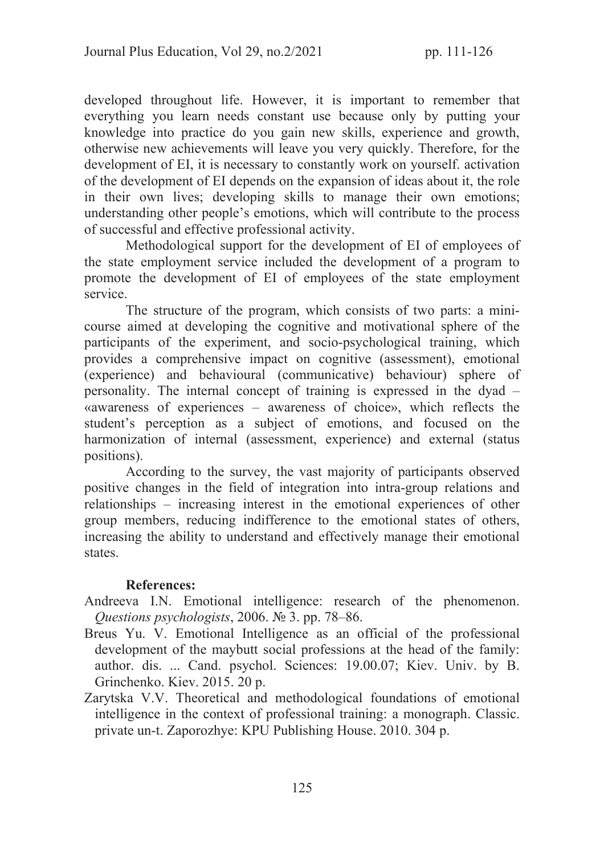developed throughout life. However, it is important to remember that everything you learn needs constant use because only by putting your knowledge into practice do you gain new skills, experience and growth, otherwise new achievements will leave you very quickly. Therefore, for the development of EI, it is necessary to constantly work on yourself. activation of the development of EI depends on the expansion of ideas about it, the role in their own lives; developing skills to manage their own emotions; understanding other people's emotions, which will contribute to the process of successful and effective professional activity.

Methodological support for the development of EI of employees of the state employment service included the development of a program to promote the development of EI of employees of the state employment service.

The structure of the program, which consists of two parts: a minicourse aimed at developing the cognitive and motivational sphere of the participants of the experiment, and socio-psychological training, which provides a comprehensive impact on cognitive (assessment), emotional (experience) and behavioural (communicative) behaviour) sphere of personality. The internal concept of training is expressed in the dyad – «awareness of experiences – awareness of choice», which reflects the student's perception as a subject of emotions, and focused on the harmonization of internal (assessment, experience) and external (status positions).

According to the survey, the vast majority of participants observed positive changes in the field of integration into intra-group relations and relationships – increasing interest in the emotional experiences of other group members, reducing indifference to the emotional states of others, increasing the ability to understand and effectively manage their emotional states.

# References:

- Andreeva I.N. Emotional intelligence: research of the phenomenon. *Questions psychologists*, 2006. № 3. pp. 78–86.
- Breus Yu. V. Emotional Intelligence as an official of the professional development of the maybutt social professions at the head of the family: author. dis. ... Cand. psychol. Sciences: 19.00.07; Kiev. Univ. by B. Grіnchenko. Kiev. 2015. 20 p.
- Zarytska V.V. Theoretical and methodological foundations of emotional intelligence in the context of professional training: a monograph. Classic. private un-t. Zaporozhye: KPU Publishing House. 2010. 304 p.